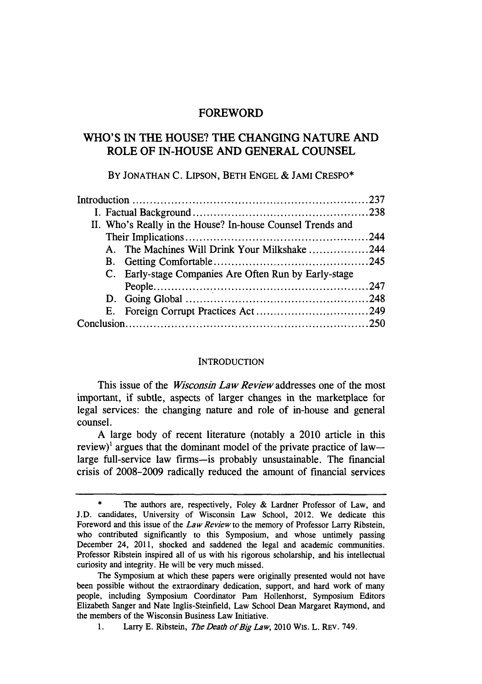### **FOREWORD**

# **WHO'S IN THE HOUSE? THE CHANGING NATURE AND ROLE OF IN-HOUSE AND GENERAL COUNSEL**

BY JONATHAN C. LIPSON, BETH ENGEL & JAMI CRESPO\*

| II. Who's Really in the House? In-house Counsel Trends and |  |
|------------------------------------------------------------|--|
|                                                            |  |
| A. The Machines Will Drink Your Milkshake 244              |  |
|                                                            |  |
| C. Early-stage Companies Are Often Run by Early-stage      |  |
|                                                            |  |
|                                                            |  |
|                                                            |  |
|                                                            |  |

#### INTRODUCTION

This issue of the *Wisconsin Law Review* addresses one of the most important, if subtle, aspects of larger changes in the marketplace for legal services: the changing nature and role of in-house and general counsel.

A large body of recent literature (notably a 2010 article in this review)<sup>1</sup> argues that the dominant model of the private practice of law large full-service law firms-is probably unsustainable. The financial crisis of 2008-2009 radically reduced the amount of financial services

The authors are, respectively, Foley & Lardner Professor of Law, and J.D. candidates, University of Wisconsin Law School, 2012. We dedicate this Foreword and this issue of the *Law Review* to the memory of Professor Larry Ribstein, who contributed significantly to this Symposium, and whose untimely passing December 24, 2011, shocked and saddened the legal and academic communities. Professor Ribstein inspired all of us with his rigorous scholarship, and his intellectual curiosity and integrity. He will be very much missed.

The Symposium at which these papers were originally presented would not have been possible without the extraordinary dedication, support, and hard work of many people, including Symposium Coordinator Pam Hollenhorst, Symposium Editors Elizabeth Sanger and Nate Inglis-Steinfield, Law School Dean Margaret Raymond, and the members of the Wisconsin Business Law Initiative.

<sup>1.</sup> Larry E. Ribstein, *The Death of Big Law,* 2010 WIS. L. REV. 749.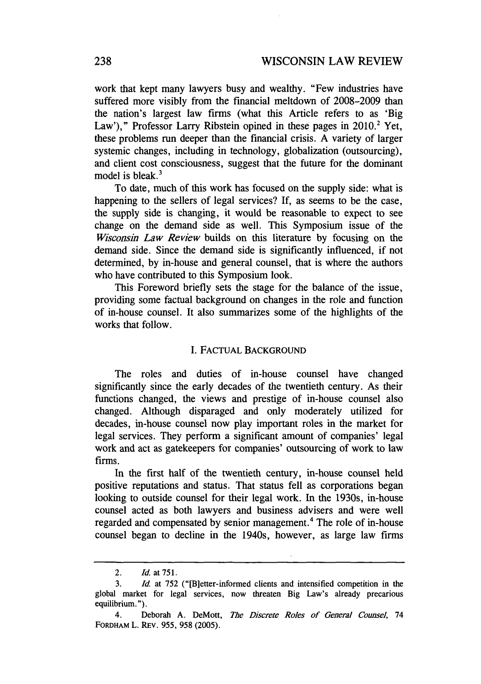work that kept many lawyers busy and wealthy. "Few industries have suffered more visibly from the financial meltdown of 2008-2009 than the nation's largest law firms (what this Article refers to as 'Big Law')," Professor Larry Ribstein opined in these pages in 2010.<sup>2</sup> Yet, these problems run deeper than the financial crisis. A variety of larger systemic changes, including in technology, globalization (outsourcing), and client cost consciousness, suggest that the future for the dominant model is bleak.<sup>3</sup>

To date, much of this work has focused on the supply side: what is happening to the sellers of legal services? If, as seems to be the case, the supply side is changing, it would be reasonable to expect to see change on the demand side as well. This Symposium issue of the *Wisconsin Law Review* builds on this literature by focusing on the demand side. Since the demand side is significantly influenced, if not determined, by in-house and general counsel, that is where the authors who have contributed to this Symposium look.

This Foreword briefly sets the stage for the balance of the issue, providing some factual background on changes in the role and function of in-house counsel. It also summarizes some of the highlights of the works that follow.

## I. **FACTUAL BACKGROUND**

The roles and duties of in-house counsel have changed significantly since the early decades of the twentieth century. As their functions changed, the views and prestige of in-house counsel also changed. Although disparaged and only moderately utilized for decades, in-house counsel now play important roles in the market for legal services. They perform a significant amount of companies' legal work and act as gatekeepers for companies' outsourcing of work to law firms.

In the first half of the twentieth century, in-house counsel held positive reputations and status. That status fell as corporations began looking to outside counsel for their legal work. In the 1930s, in-house counsel acted as both lawyers and business advisers and were well regarded and compensated by senior management. <sup>4</sup>The role of in-house counsel began to decline in the 1940s, however, as large law firms

<sup>2.</sup> *Id.* at 751.

<sup>3.</sup> *Id* at 752 ("[B]etter-informed clients and intensified competition in the global market for legal services, now threaten Big Law's already precarious equilibrium.").

<sup>4.</sup> Deborah A. DeMott, *The Discrete Roles of General Counsel,* 74 FORDHAM L. REV. *955,* 958 (2005).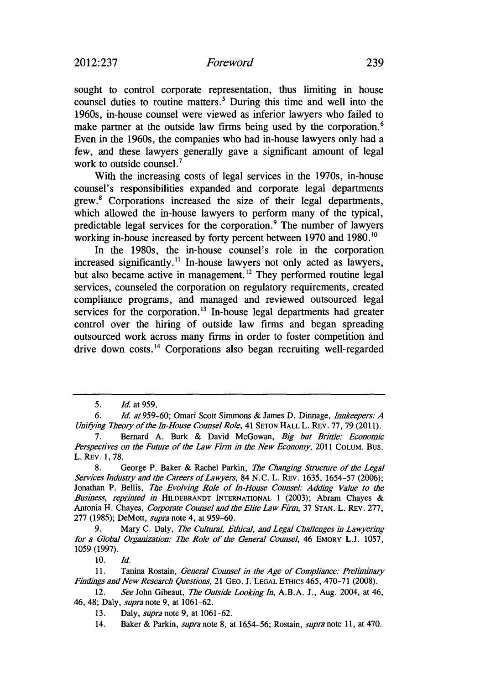sought to control corporate representation, thus limiting in house counsel duties to routine matters.<sup>5</sup> During this time and well into the 1960s, in-house counsel were viewed as inferior lawyers who failed to make partner at the outside law firms being used by the corporation.<sup>6</sup> Even in the 1960s, the companies who had in-house lawyers only had a few, and these lawyers generally gave a significant amount of legal work to outside counsel.<sup>7</sup>

With the increasing costs of legal services in the 1970s, in-house counsel's responsibilities expanded and corporate legal departments grew.<sup>8</sup> Corporations increased the size of their legal departments, which allowed the in-house lawyers to perform many of the typical, predictable legal services for the corporation.<sup>9</sup> The number of lawyers working in-house increased by forty percent between 1970 and 1980.<sup>10</sup>

In the 1980s, the in-house counsel's role in the corporation increased significantly." In-house lawyers not only acted as lawyers, but also became active in management.<sup>12</sup> They performed routine legal services, counseled the corporation on regulatory requirements, created compliance programs, and managed and reviewed outsourced legal services for the corporation.<sup>13</sup> In-house legal departments had greater control over the hiring of outside law firms and began spreading outsourced work across many firms in order to foster competition and drive down costs. 14 Corporations also began recruiting well-regarded

8. George P. Baker & Rachel Parkin, *The Changing Structure of the Legal Services Industry and the Careers of Lawyers,* 84 N.C. L. REv. 1635, 1654-57 (2006); Jonathan **P.** Bellis, *The Evolving Role of In-House Counsel: Adding Value to the Business, reprinted in* HILDEBRANDT INTERNATIONAL **1** (2003); Abram Chayes & Antonia H. Chayes, *Corporate Counsel and the Elite Law Firm,* 37 STAN. L. REV. 277, 277 (1985); DeMott, *supra* note 4, at 959-60.

9. Mary C. Daly, *The Cultural, Ethical, and Legal Challenges in Lawyering for a Global Organization: The Role of the General Counsel,* 46 EMORY L.J. 1057, 1059 (1997).

10. *Id.* 

<sup>5.</sup> *Id* at 959.

<sup>6.</sup> *Id at959-60;* Omari Scott Simmons & James D. Dinnage, *Innkeepers: A Unifying Theory of the In-House Counsel Role,* 41 SETON HALL L. REv. 77, 79 (2011).

<sup>7.</sup> Bernard A. Burk & David McGowan, *Big but Brittle: Economic Perspectives on the Future of the Law Firm in the New Economy,* 2011 CoLUM. Bus. L. REV. **1,** 78.

<sup>11.</sup> Tanina Rostain, *General Counsel in the Age of Compliance: Preliminary Findings and New Research Questions,* 21 GEO. J. LEGAL ETHICS 465, 470-71 (2008).

<sup>12.</sup> *See* John Gibeaut, *The Outside Looking In,* A.B.A. J., Aug. 2004, at 46, 46, 48; Daly, *supra* note 9, at 1061-62.

<sup>13.</sup> Daly, *supra* note 9, at 1061-62.

<sup>14.</sup> Baker & Parkin, *supra* note 8, at 1654-56; Rostain, *supra* note 11, at 470.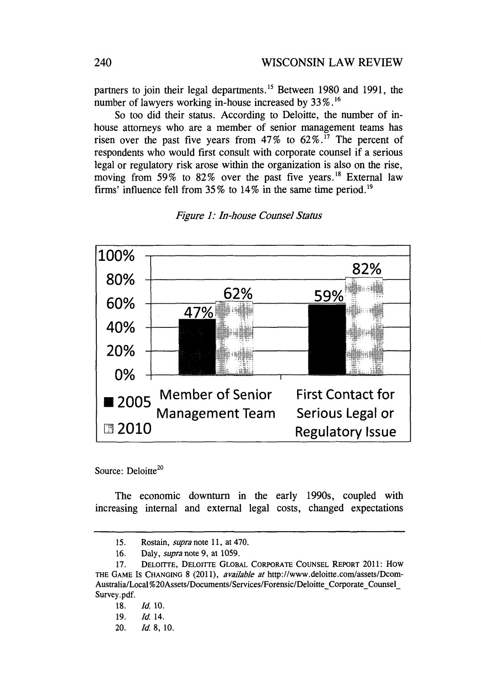partners to join their legal departments. 15 Between 1980 and 1991, the number of lawyers working in-house increased by 33%.<sup>16</sup>

So too did their status. According to Deloitte, the number of inhouse attorneys who are a member of senior management teams has risen over the past five years from  $47\%$  to  $62\%$ <sup>17</sup>. The percent of respondents who would first consult with corporate counsel if a serious legal or regulatory risk arose within the organization is also on the rise, moving from 59% to 82% over the past five years.<sup>18</sup> External law firms' influence fell from  $35\%$  to  $14\%$  in the same time period.<sup>19</sup>



*Figure 1: In-house Counsel Status* 

Source: Deloitte<sup>20</sup>

The economic downturn in the early 1990s, coupled with increasing internal and external legal costs, changed expectations

<sup>15.</sup> Rostain, *supra* note 11, at 470.

<sup>16.</sup> Daly, *supra* note 9, at 1059.

<sup>17.</sup> DELOITTE, DELOITTE GLOBAL CORPORATE COUNSEL REPORT 2011: How THE GAME Is CHANGING 8 (2011), *available at* http://www.deloitte.com/assets/Dcom-Australia/Local %20Assets/Documents/Services/Forensic/Deloitte \_Corporate\_ Counsel\_ Survey. pdf.

<sup>18.</sup> *Id.* 10.

<sup>19.</sup> *Id.* 14.

<sup>20.</sup> *Id.* 8, 10.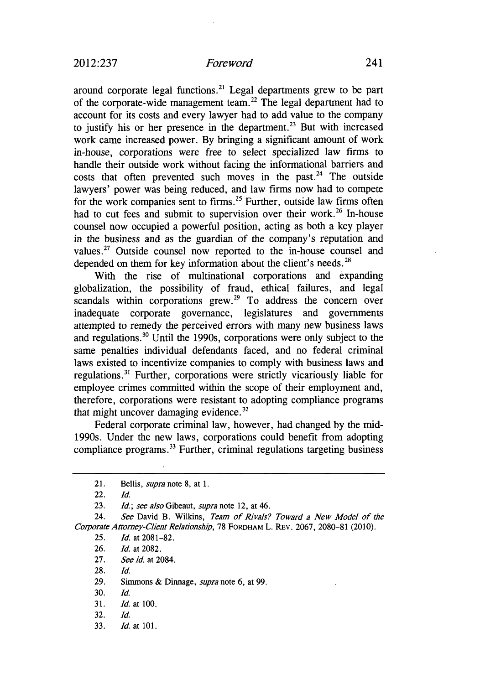around corporate legal functions.<sup>21</sup> Legal departments grew to be part of the corporate-wide management team.<sup>22</sup> The legal department had to account for its costs and every lawyer had to add value to the company to justify his or her presence in the department.<sup>23</sup> But with increased work came increased power. By bringing a significant amount of work in-house, corporations were free to select specialized law firms to handle their outside work without facing the informational barriers and costs that often prevented such moves in the past. $24$  The outside lawyers' power was being reduced, and law firms now had to compete for the work companies sent to firms.<sup>25</sup> Further, outside law firms often had to cut fees and submit to supervision over their work.<sup>26</sup> In-house counsel now occupied a powerful position, acting as both a key player in the business and as the guardian of the company's reputation and values.<sup>27</sup> Outside counsel now reported to the in-house counsel and depended on them for key information about the client's needs.<sup>28</sup>

With the rise of multinational corporations and expanding globalization, the possibility of fraud, ethical failures, and legal scandals within corporations grew.<sup>29</sup> To address the concern over inadequate corporate governance, legislatures and governments attempted to remedy the perceived errors with many new business laws and regulations. 30 Until the 1990s, corporations were only subject to the same penalties individual defendants faced, and no federal criminal laws existed to incentivize companies to comply with business laws and regulations. 31 Further, corporations were strictly vicariously liable for employee crimes committed within the scope of their employment and, therefore, corporations were resistant to adopting compliance programs that might uncover damaging evidence.<sup>32</sup>

Federal corporate criminal law, however, had changed by the mid-1990s. Under the new laws, corporations could benefit from adopting compliance programs. 33 Further, criminal regulations targeting business

27. *See id.* at 2084.

- 32. *Id.*
- 33. *Id.* at 101.

<sup>21.</sup> Bellis, *supra* note 8, at 1.

<sup>22.</sup> *Id.* 

<sup>23.</sup> *Id.; see also* Gibeaut, *supra* note 12, at 46.

<sup>24.</sup> *See* David B. Wilkins, *Team of Rivals? Toward a New Model of the Corporate Attorney-Client Relationship,* 78 FORDHAM L. REv. 2067, 2080-81 (2010).

<sup>25.</sup> *Id.* at 2081-82.

<sup>26.</sup> *Id.* at 2082.

<sup>28.</sup> *Id.* 

<sup>29.</sup> Simmons & Dinnage, *supra* note 6, at 99.

<sup>30.</sup> *Id.* 

<sup>31.</sup> *Id.* at 100.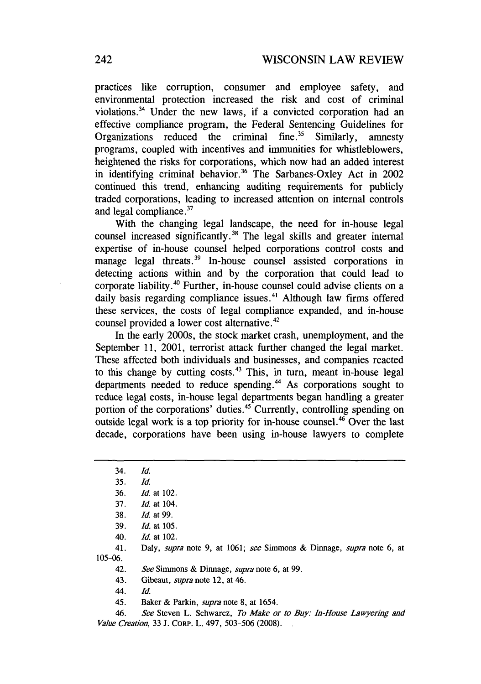practices like corruption, consumer and employee safety, and environmental protection increased the risk and cost of criminal violations. 34 Under the new laws, if a convicted corporation had an effective compliance program, the Federal Sentencing Guidelines for Organizations reduced the criminal fine.<sup>35</sup> Similarly, amnesty programs, coupled with incentives and immunities for whistleblowers, heightened the risks for corporations, which now had an added interest in identifying criminal behavior.<sup>36</sup> The Sarbanes-Oxley Act in 2002 continued this trend, enhancing auditing requirements for publicly traded corporations, leading to increased attention on internal controls and legal compliance.<sup>37</sup>

With the changing legal landscape, the need for in-house legal counsel increased significantly. 38 The legal skills and greater internal expertise of in-house counsel helped corporations control costs and manage legal threats.<sup>39</sup> In-house counsel assisted corporations in detecting actions within and by the corporation that could lead to corporate liability. 40 Further, in-house counsel could advise clients on a daily basis regarding compliance issues.<sup>41</sup> Although law firms offered these services, the costs of legal compliance expanded, and in-house counsel provided a lower cost alternative. 42

In the early 2000s, the stock market crash, unemployment, and the September 11, 2001, terrorist attack further changed the legal market. These affected both individuals and businesses, and companies reacted to this change by cutting costs.<sup>43</sup> This, in turn, meant in-house legal departments needed to reduce spending. 44 As corporations sought to reduce legal costs, in-house legal departments began handling a greater portion of the corporations' duties.<sup>45</sup> Currently, controlling spending on outside legal work is a top priority for in-house counsel. 46 Over the last decade, corporations have been using in-house lawyers to complete

- 44. *Id.*
- 45. Baker & Parkin, *supra* note 8, at 1654.

46. *See* Steven L. Schwarcz, *To Make or to Buy: In-House Lawyering and Value Creation,* 33 J. CORP. L. 497, 503-506 (2008).

<sup>34.</sup> *Id.* 

<sup>35.</sup> *Id.* 

<sup>36.</sup> *Id.* at 102.

<sup>37.</sup> *Id.* at 104.

<sup>38.</sup> *Id.* at 99.

<sup>39.</sup> *Id.* at 105.

<sup>40.</sup> *Id.* at 102.

<sup>41.</sup> Daly, *supra* note 9, at 1061; *see* Simmons & Dinnage, *supra* note 6, at 105-06.

<sup>42.</sup> *See* Simmons & Dinnage, *supra* note 6, at 99.

<sup>43.</sup> Gibeaut, *supra* note 12, at 46.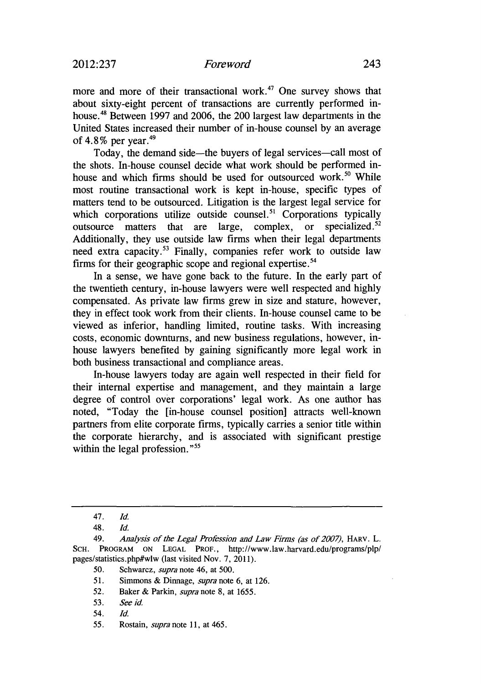more and more of their transactional work.<sup>47</sup> One survey shows that about sixty-eight percent of transactions are currently performed inhouse. 48 Between 1997 and 2006, the 200 largest law departments in the United States increased their number of in-house counsel by an average of 4.8% per year. $49$ 

Today, the demand side-the buyers of legal services-call most of the shots. In-house counsel decide what work should be performed inhouse and which firms should be used for outsourced work.<sup>50</sup> While most routine transactional work is kept in-house, specific types of matters tend to be outsourced. Litigation is the largest legal service for which corporations utilize outside counsel.<sup>51</sup> Corporations typically outsource matters that are large, complex, or specialized. $52$ Additionally, they use outside law firms when their legal departments need extra capacity.<sup>53</sup> Finally, companies refer work to outside law firms for their geographic scope and regional expertise. 54

In a sense, we have gone back to the future. In the early part of the twentieth century, in-house lawyers were well respected and highly compensated. As private law firms grew in size and stature, however, they in effect took work from their clients. In-house counsel came to be viewed as inferior, handling limited, routine tasks. With increasing costs, economic downturns, and new business regulations, however, inhouse lawyers benefited by gaining significantly more legal work in both business transactional and compliance areas.

In-house lawyers today are again well respected in their field for their internal expertise and management, and they maintain a large degree of control over corporations' legal work. As one author has noted, "Today the [in-house counsel position] attracts well-known partners from elite corporate firms, typically carries a senior title within the corporate hierarchy, and is associated with significant prestige within the legal profession."<sup>55</sup>

<sup>47.</sup> *Id.* 

<sup>48.</sup> *Id.* 

<sup>49.</sup> *Analysis of the Legal Profession and Law Firms (as of 2007)*, HARV. L. SCH. PROGRAM ON LEGAL PROF., http://www.law.harvard.edu/programs/plp/ pages/statistics.php#wlw (last visited Nov. 7, 2011).

<sup>50.</sup> Schwarcz, *supra* note 46, at 500.

<sup>51.</sup> Simmons & Dinnage, *supra* note 6, at 126.

<sup>52.</sup> Baker & Parkin, *supra* note 8, at 1655.

<sup>53.</sup> *See id* 

<sup>54.</sup> *Id* 

<sup>55.</sup> Rostain, *supra* note 11, at 465.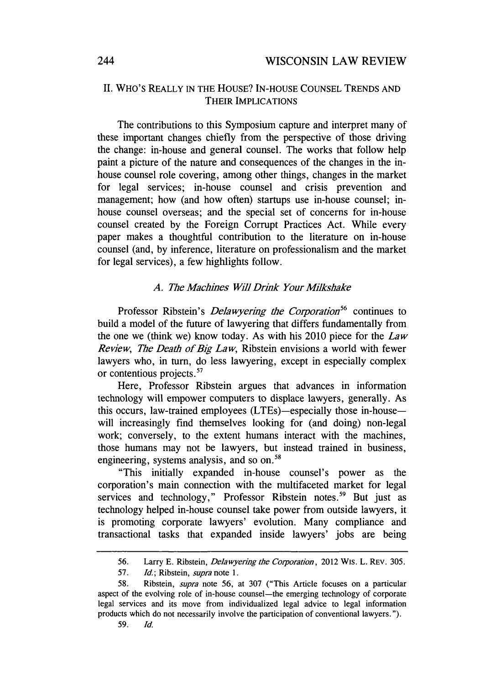### II. **WHO'S** REALLY IN THE **HOUSE? IN-HOUSE** COUNSEL **TRENDS AND THEIR IMPLICATIONS**

The contributions to this Symposium capture and interpret many of these important changes chiefly from the perspective of those driving the change: in-house and general counsel. The works that follow help paint a picture of the nature and consequences of the changes in the inhouse counsel role covering, among other things, changes in the market for legal services; in-house counsel and crisis prevention and management; how (and how often) startups use in-house counsel; inhouse counsel overseas; and the special set of concerns for in-house counsel created by the Foreign Corrupt Practices Act. While every paper makes a thoughtful contribution to the literature on in-house counsel (and, by inference, literature on professionalism and the market for legal services), a few highlights follow.

### A. *The Machines Will Drink Your Milkshake*

Professor Ribstein's *Delawyering the Corporation*<sup>56</sup> continues to build a model of the future of lawyering that differs fundamentally from the one we (think we) know today. As with his 2010 piece for the  $Law$ *Review, The Death of Big Law,* Ribstein envisions a world with fewer lawyers who, in tum, do less lawyering, except in especially complex or contentious projects. 57

Here, Professor Ribstein argues that advances in information technology will empower computers to displace lawyers, generally. As this occurs, law-trained employees (LTEs)—especially those in-house will increasingly find themselves looking for (and doing) non-legal work; conversely, to the extent humans interact with the machines, those humans may not be lawyers, but instead trained in business, engineering, systems analysis, and so on.<sup>58</sup>

"This initially expanded in-house counsel's power as the corporation's main connection with the multifaceted market for legal services and technology," Professor Ribstein notes.<sup>59</sup> But just as technology helped in-house counsel take power from outside lawyers, it is promoting corporate lawyers' evolution. Many compliance and transactional tasks that expanded inside lawyers' jobs are being

59. *Id.* 

<sup>56.</sup> Larry E. Ribstein, *Delawyering the Corporation,* 2012 **Wis. L.** REv. 305.

<sup>57.</sup> *Id.;* Ribstein, *supra* note 1.

<sup>58.</sup> Ribstein, *supra* note 56, at 307 ("This Article focuses on a particular aspect of the evolving role of in-house counsel-the emerging technology of corporate legal services and its move from individualized legal advice to legal information products which do not necessarily involve the participation of conventional lawyers.").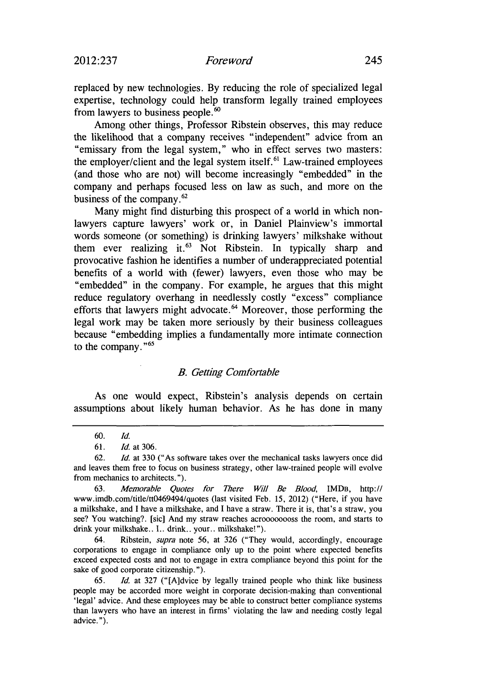replaced by new technologies. By reducing the role of specialized legal expertise, technology could help transform legally trained employees from lawyers to business people.<sup>60</sup>

Among other things, Professor Ribstein observes, this may reduce the likelihood that a company receives "independent" advice from an "emissary from the legal system," who in effect serves two masters: the employer/client and the legal system itself. 61 Law-trained employees (and those who are not) will become increasingly "embedded" in the company and perhaps focused less on law as such, and more on the business of the company. 62

Many might find disturbing this prospect of a world in which nonlawyers capture lawyers' work or, in Daniel Plainview's immortal words someone (or something) is drinking lawyers' milkshake without them ever realizing it.<sup>63</sup> Not Ribstein. In typically sharp and provocative fashion he identifies a number of underappreciated potential benefits of a world with (fewer) lawyers, even those who may be "embedded" in the company. For example, he argues that this might reduce regulatory overhang in needlessly costly "excess" compliance efforts that lawyers might advocate.<sup>64</sup> Moreover, those performing the legal work may be taken more seriously by their business colleagues because "embedding implies a fundamentally more intimate connection to the company. "65

#### *B. Getting Comfortable*

As one would expect, Ribstein's analysis depends on certain assumptions about likely human behavior. As he has done in many

64. Ribstein, *supra* note 56, at 326 ("They would, accordingly, encourage corporations to engage in compliance only up to the point where expected benefits exceed expected costs and not to engage in extra compliance beyond this point for the sake of good corporate citizenship.").

65. *Id.* at 327 ("[A]dvice by legally trained people who think like business people may be accorded more weight in corporate decision-making than conventional 'legal' advice. And these employees may be able to construct better compliance systems than lawyers who have an interest in firms' violating the law and needing costly legal advice.").

<sup>60.</sup> *Id.* 

<sup>61.</sup> *Id.* at 306.

<sup>62.</sup> *Id.* at 330 ("As software takes over the mechanical tasks lawyers once did and leaves them free to focus on business strategy, other law-trained people will evolve from mechanics to architects.").

<sup>63.</sup> *Memorable Quotes for There Will Be Blood,* IMDB, http:// www.imdb.com/title/tt0469494/quotes (last visited Feb. 15, 2012) ("Here, if you have a milkshake, and I have a milkshake, and I have a straw. There it is, that's a straw, you see? You watching?. [sic] And my straw reaches acroooooooss the room, and starts to drink your milkshake.. I.. drink.. your.. milkshake!").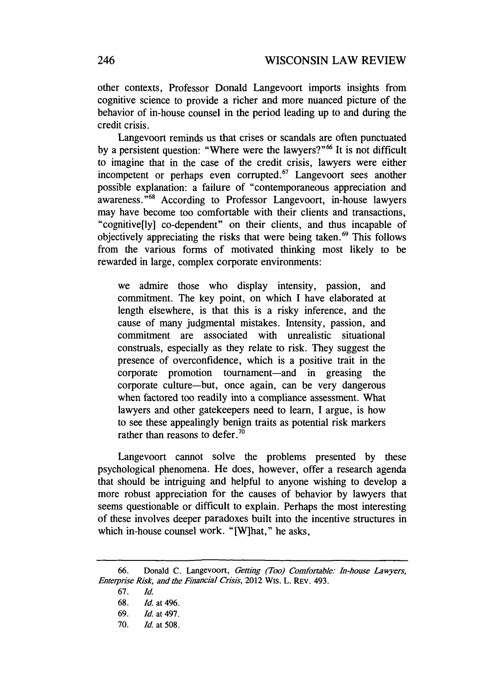other contexts, Professor Donald Langevoort imports insights from cognitive science to provide a richer and more nuanced picture of the behavior of in-house counsel in the period leading up to and during the credit crisis.

Langevoort reminds us that crises or scandals are often punctuated by a persistent question: "Where were the lawyers?"<sup>66</sup> It is not difficult to imagine that in the case of the credit crisis, lawyers were either incompetent or perhaps even corrupted. $67$  Langevoort sees another possible explanation: a failure of "contemporaneous appreciation and awareness. "68 According to Professor Langevoort, in-house lawyers may have become too comfortable with their clients and transactions, "cognitive[ly] co-dependent" on their clients, and thus incapable of objectively appreciating the risks that were being taken.<sup>69</sup> This follows from the various forms of motivated thinking most likely to be rewarded in large, complex corporate environments:

we admire those who display intensity, passion, and commitment. The key point, on which I have elaborated at length elsewhere, is that this is a risky inference, and the cause of many judgmental mistakes. Intensity, passion, and commitment are associated with unrealistic situational construals, especially as they relate to risk. They suggest the presence of overconfidence, which is a positive trait in the corporate promotion tournament-and in greasing the corporate culture-but, once again, can be very dangerous when factored too readily into a compliance assessment. What lawyers and other gatekeepers need to learn, I argue, is how to see these appealingly benign traits as potential risk markers rather than reasons to defer.<sup>70</sup>

Langevoort cannot solve the problems presented by these psychological phenomena. He does, however, offer a research agenda that should be intriguing and helpful to anyone wishing to develop a more robust appreciation for the causes of behavior by lawyers that seems questionable or difficult to explain. Perhaps the most interesting of these involves deeper paradoxes built into the incentive structures in which in-house counsel work. "[W]hat," he asks,

<sup>66.</sup> Donald C. Langevoort, *Getting (Too) Comfortable: In-house Lawyers, Enterprise Risk, and the Financial Crisis,* 2012 Wis. L. REV. 493.

<sup>67.</sup> *Id.* 

<sup>68.</sup> *Id.* at 496.

<sup>69.</sup> *Id.* at 497.

*<sup>10.</sup> Id* at 508.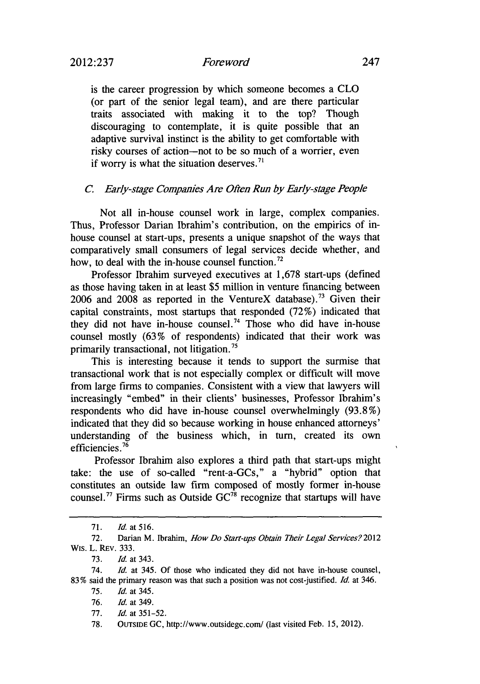### 2012:237 *Foreword*

is the career progression by which someone becomes a CLO (or part of the senior legal team), and are there particular traits associated with making it to the top? Though discouraging to contemplate, it is quite possible that an adaptive survival instinct is the ability to get comfortable with risky courses of action-not to be so much of a worrier, even if worry is what the situation deserves. $71$ 

### C. *Early-stage Companies Are Often Run by Early-stage People*

Not all in-house counsel work in large, complex companies. Thus, Professor Darian Ibrahim's contribution, on the empirics of inhouse counsel at start-ups, presents a unique snapshot of the ways that comparatively small consumers of legal services decide whether, and how, to deal with the in-house counsel function.<sup>72</sup>

Professor Ibrahim surveyed executives at 1,678 start-ups (defined as those having taken in at least \$5 million in venture financing between 2006 and 2008 as reported in the VentureX database).<sup>73</sup> Given their capital constraints, most startups that responded (72%) indicated that they did not have in-house counsel.<sup>74</sup> Those who did have in-house counsel mostly (63% of respondents) indicated that their work was primarily transactional, not litigation. *<sup>75</sup>*

This is interesting because it tends to support the surmise that transactional work that is not especially complex or difficult will move from large firms to companies. Consistent with a view that lawyers will increasingly "embed" in their clients' businesses, Professor Ibrahim's respondents who did have in-house counsel overwhelmingly (93.8%) indicated that they did so because working in house enhanced attorneys' understanding of the business which, in tum, created its own efficiencies. <sup>76</sup>

Professor Ibrahim also explores a third path that start-ups might take: the use of so-called "rent-a-GCs," a "hybrid" option that constitutes an outside law firm composed of mostly former in-house counsel.<sup>77</sup> Firms such as Outside  $GC^{78}$  recognize that startups will have

<sup>71.</sup> *Id.* at 516.

<sup>72.</sup> Darian M. Ibrahim, *How Do Start-ups Obtain Their Legal Services?2012*  **WIS.** L. REV. 333.

<sup>73.</sup> *Id.* at 343.

<sup>74.</sup> *Id.* at 345. Of those who indicated they did not have in-house counsel, 83% said the primary reason was that such a position was not cost-justified. *Id.* at 346.

<sup>75.</sup> *Id.* at 345.

<sup>76.</sup> *Id.* at 349.

<sup>77.</sup> *Id.* at 351-52.

<sup>78.</sup> OUTSIDE GC, http://www.outsidegc.com/ (last visited Feb. 15, 2012).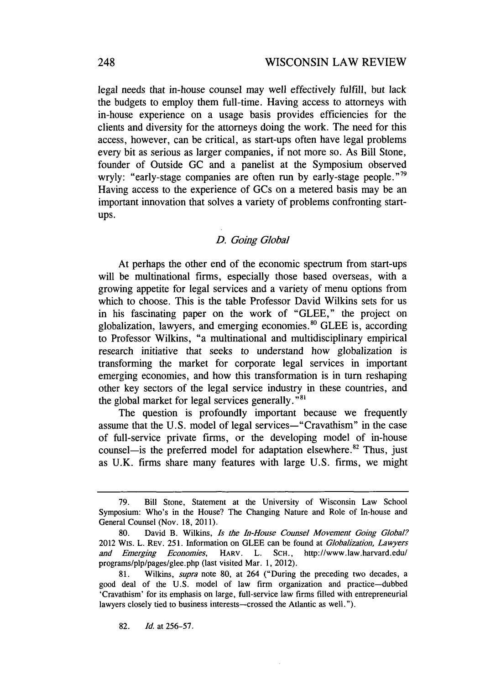legal needs that in-house counsel may well effectively fulfill, but lack the budgets to employ them full-time. Having access to attorneys with in-house experience on a usage basis provides efficiencies for the clients and diversity for the attorneys doing the work. The need for this access, however, can be critical, as start-ups often have legal problems every bit as serious as larger companies, if not more so. As Bill Stone, founder of Outside GC and a panelist at the Symposium observed wryly: "early-stage companies are often run by early-stage people."<sup>79</sup> Having access to the experience of GCs on a metered basis may be an important innovation that solves a variety of problems confronting startups.

### D. Going Global

At perhaps the other end of the economic spectrum from start-ups will be multinational firms, especially those based overseas, with a growing appetite for legal services and a variety of menu options from which to choose. This is the table Professor David Wilkins sets for us in his fascinating paper on the work of "GLEE," the project on globalization, lawyers, and emerging economies. 80 GLEE is, according to Professor Wilkins, "a multinational and multidisciplinary empirical research initiative that seeks to understand how globalization is transforming the market for corporate legal services in important emerging economies, and how this transformation is in tum reshaping other key sectors of the legal service industry in these countries, and the global market for legal services generally. "<sup>81</sup>

The question is profoundly important because we frequently assume that the U.S. model of legal services—"Cravathism" in the case of full-service private firms, or the developing model of in-house counsel-is the preferred model for adaptation elsewhere.<sup>82</sup> Thus, just as U.K. firms share many features with large U.S. firms, we might

82. *Id.* at 256-57.

<sup>79.</sup> Bill Stone, Statement at the University of Wisconsin Law School Symposium: Who's in the House? The Changing Nature and Role of In-house and General Counsel (Nov. 18, 2011).

<sup>80.</sup> David B. Wilkins, *Is the In-House Counsel Movement Going Global?*  2012 Wis. L. REV. 251. Information on GLEE can be found at *Globalization, Lawyers and Emerging Economies,* HARV. L. SCH., http://www.law.harvard.edu/ programs/plp/pages/glee.php (last visited Mar. 1, 2012).

<sup>81.</sup> Wilkins, *supra* note 80, at 264 ("During the preceding two decades, a good deal of the U.S. model of law firm organization and practice-dubbed 'Cravathism' for its emphasis on large, full-service law firms filled with entrepreneurial lawyers closely tied to business interests—crossed the Atlantic as well.").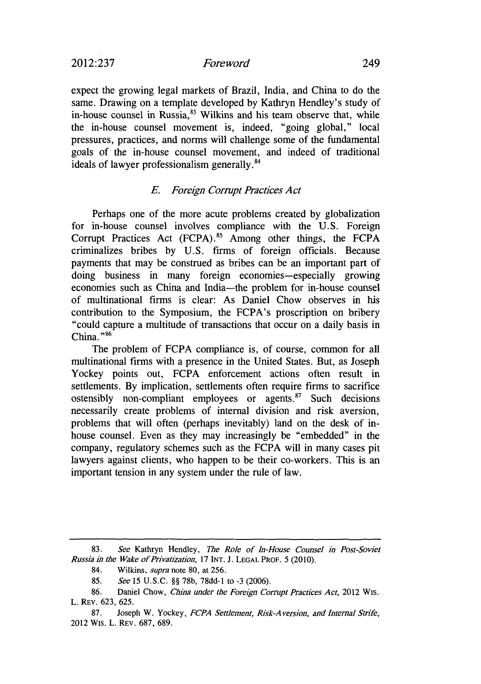expect the growing legal markets of Brazil, India, and China to do the same. Drawing on a template developed by Kathryn Hendley's study of in-house counsel in Russia, 83 Wilkins and his team observe that, while the in-house counsel movement is, indeed, "going global," local pressures, practices, and norms will challenge some of the fundamental goals of the in-house counsel movement, and indeed of traditional ideals of lawyer professionalism generally. 84

#### *E. Foreign Corrupt Practices Act*

Perhaps one of the more acute problems created by globalization for in-house counsel involves compliance with the U.S. Foreign Corrupt Practices Act (FCPA).<sup>85</sup> Among other things, the FCPA criminalizes bribes by U.S. firms of foreign officials. Because payments that may be construed as bribes can be an important part of doing business in many foreign economies-especially growing economies such as China and India-the problem for in-house counsel of multinational firms is clear: As Daniel Chow observes in his contribution to the Symposium, the FCPA's proscription on bribery "could capture a multitude of transactions that occur on a daily basis in China. "86

The problem of FCPA compliance is, of course, common for all multinational firms with a presence in the United States. But, as Joseph Yockey points out, FCPA enforcement actions often result in settlements. By implication, settlements often require firms to sacrifice ostensibly non-compliant employees or agents. $^{87}$  Such decisions necessarily create problems of internal division and risk aversion, problems that will often (perhaps inevitably) land on the desk of inhouse counsel. Even as they may increasingly be "embedded" in the company, regulatory schemes such as the FCPA will in many cases pit lawyers against clients, who happen to be their co-workers. This is an important tension in any system under the rule of law.

<sup>83.</sup> *See* Kathryn Hendley, *The Role of In-House Counsel in Post-Soviet Russia in the Wake of Privatization,* 17 INT. J. LEGAL PROF. 5 (2010).

<sup>84.</sup> Wilkins, *supra* note 80, at 256.

<sup>85.</sup> *See* 15 U.S.C. §§ 78b, 78dd-1 to -3 (2006).

<sup>86.</sup> Daniel Chow, *China under the Foreign Corrupt Practices Act,* 2012 Wis. L. REV. 623, 625.

<sup>87.</sup> Joseph W. Yockey, *FCPA Settlement, Risk-Aversion, and Internal Strife,*  2012 WIS. L. REV. 687, 689.